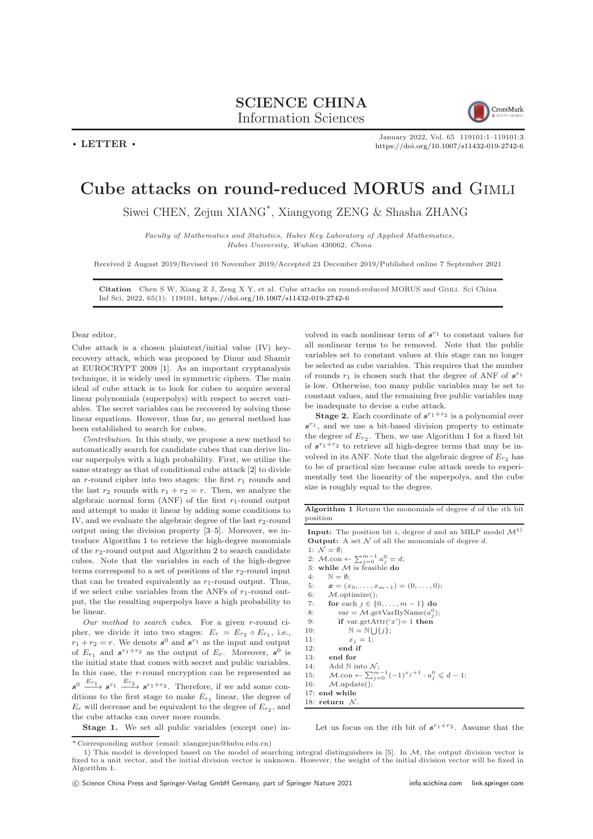## SCIENCE CHINA Information Sciences



January 2022, Vol. 65 119101:1–119101[:3](#page-2-0)

<https://doi.org/10.1007/s11432-019-2742-6>

## Cube attacks on round-reduced MORUS and Gimli

Siwei CHEN, Zejun XIANG\* , Xiangyong ZENG & Shasha ZHANG

Faculty of Mathematics and Statistics, Hubei Key Laboratory of Applied Mathematics, Hubei University, Wuhan 430062, China

Received 2 August 2019/Revised 10 November 2019/Accepted 23 December 2019/Published online 7 September 2021

Citation Chen S W, Xiang Z J, Zeng X Y, et al. Cube attacks on round-reduced MORUS and Gimli. Sci China Inf Sci, 2022, 65(1): 119101, <https://doi.org/10.1007/s11432-019-2742-6>

## Dear editor,

 $\cdot$  LETTER  $\cdot$ 

Cube attack is a chosen plaintext/initial value (IV) keyrecovery attack, which was proposed by Dinur and Shamir at EUROCRYPT 2009 [\[1\]](#page-2-1). As an important cryptanalysis technique, it is widely used in symmetric ciphers. The main ideal of cube attack is to look for cubes to acquire several linear polynomials (superpolys) with respect to secret variables. The secret variables can be recovered by solving these linear equations. However, thus far, no general method has been established to search for cubes.

Contribution. In this study, we propose a new method to automatically search for candidate cubes that can derive linear superpolys with a high probability. First, we utilize the same strategy as that of conditional cube attack [\[2\]](#page-2-2) to divide an r-round cipher into two stages: the first  $r_1$  rounds and the last  $r_2$  rounds with  $r_1 + r_2 = r$ . Then, we analyze the algebraic normal form (ANF) of the first  $r_1$ -round output and attempt to make it linear by adding some conditions to IV, and we evaluate the algebraic degree of the last  $r_2$ -round output using the division property [\[3](#page-2-3)[–5\]](#page-2-4). Moreover, we introduce Algorithm [1](#page-0-0) to retrieve the high-degree monomials of the  $r_2$  $r_2$ -round output and Algorithm 2 to search candidate cubes. Note that the variables in each of the high-degree terms correspond to a set of positions of the  $r_2$ -round input that can be treated equivalently as  $r_1$ -round output. Thus, if we select cube variables from the ANFs of  $r_1$ -round output, the the resulting superpolys have a high probability to be linear.

Our method to search cubes. For a given r-round cipher, we divide it into two stages:  $E_r = E_{r_2} \circ E_{r_1}$ , i.e.,  $r_1 + r_2 = r$ . We denote  $s^0$  and  $s^{r_1}$  as the input and output of  $E_{r_1}$  and  $s^{r_1+r_2}$  as the output of  $E_r$ . Moreover,  $s^0$  is the initial state that comes with secret and public variables. In this case, the r-round encryption can be represented as  $s^0 \xrightarrow{E_{r_1}} s^{r_1} \xrightarrow{E_{r_2}} s^{r_1+r_2}$ . Therefore, if we add some conditions to the first stage to make  $E_{r_1}$  linear, the degree of  $E_r$  will decrease and be equivalent to the degree of  $E_{r_2}$ , and the cube attacks can cover more rounds.

Stage 1. We set all public variables (except one) in-

volved in each nonlinear term of  $s^{r_1}$  to constant values for all nonlinear terms to be removed. Note that the public variables set to constant values at this stage can no longer be selected as cube variables. This requires that the number of rounds  $r_1$  is chosen such that the degree of ANF of  $s^{r_1}$ is low. Otherwise, too many public variables may be set to constant values, and the remaining free public variables may be inadequate to devise a cube attack.

**Stage 2.** Each coordinate of  $s^{r_1+r_2}$  is a polynomial over  $s^{r_1}$ , and we use a bit-based division property to estimate the degree of  $E_{r_2}$ . Then, we use Algorithm [1](#page-0-0) for a fixed bit of  $s^{r_1+r_2}$  to retrieve all high-degree terms that may be involved in its ANF. Note that the algebraic degree of  $\mathcal{E}_{r_2}$  has to be of practical size because cube attack needs to experimentally test the linearity of the superpolys, and the cube size is roughly equal to the degree.

<span id="page-0-0"></span>Algorithm 1 Return the monomials of degree d of the ith bit position

**Input:** The position bit *i*, degree *d* and an MILP model  $\mathcal{M}^{1}$ **Output:** A set  $N$  of all the monomials of degree d. 1:  $\mathcal{N} = \emptyset$ 2:  $M.\text{con} \leftarrow \sum_{j=0}^{m-1} a_j^0 = d;$ 3: while  $\mathcal{M}$  is feasible do 4:  $\mathbb{N} = \emptyset$ ; 5:  $\mathbf{x} = (x_0, \ldots, x_{m-1}) = (0, \ldots, 0);$ <br>6:  $M$ , optimize():  $M.\text{optimize}()$ ; 7: **for** each  $j \in \{0, ..., m-1\}$  do 8: var =  $M.\text{getVarByName}(a_j^0);$ 9: if var.getAttr('x')= 1 then 10:  $\mathbb{N} = \mathbb{N} \bigcup \{j\};$ 11:  $x_j = 1;$ 12: end if 13: end for 14: Add  $\mathbb N$  into  $\mathcal N$ ; 15:  $M.\text{con} \leftarrow \sum_{j=0}^{m-1} (-1)^{x_j+1} \cdot a_j^0 \leq d-1;$ <br>16:  $M.\text{update}();$ 17: end while 18: return  $\mathcal N$ 

Let us focus on the *i*th bit of  $s^{r_1+r_2}$ . Assume that the

<sup>\*</sup> Corresponding author (email: xiangzejun@hubu.edu.cn)

<sup>1)</sup> This model is developed based on the model of searching integral distinguishers in [\[5\]](#page-2-4). In M, the output division vector is fixed to a unit vector, and the initial division vector is unknown. However, the weight of the initial division vector will be fixed in Algorithm [1.](#page-0-0)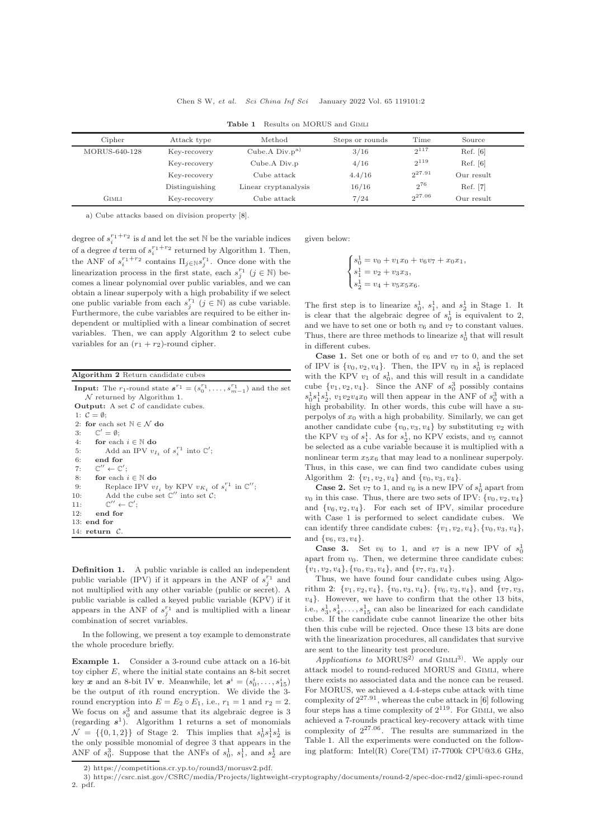<span id="page-1-1"></span>

| Cipher        | Attack type    | Method               | Steps or rounds | Time        | Source     |  |
|---------------|----------------|----------------------|-----------------|-------------|------------|--|
| MORUS-640-128 | Key-recovery   | Cube.A $Div.p^a$     | 3/16            | $2^{117}$   | Ref. [6]   |  |
|               | Key-recovery   | Cube.A Div.p         | 4/16            | $2^{119}$   | Ref. [6]   |  |
|               | Key-recovery   | Cube attack          | 4.4/16          | $2^{27.91}$ | Our result |  |
|               | Distinguishing | Linear cryptanalysis | 16/16           | $2^{76}$    | Ref. [7]   |  |
| GIMLI         | Key-recovery   | Cube attack          | 7/24            | $2^{27.06}$ | Our result |  |

Table 1 Results on MORUS and Gimli

a) Cube attacks based on division property [\[8\]](#page-2-7).

degree of  $s_i^{r_1+r_2}$  is d and let the set N be the variable indices of a degree d term of  $s_i^{r_1+r_2}$  returned by Algorithm [1.](#page-0-0) Then, the ANF of  $s_i^{r_1+r_2}$  contains  $\Pi_{j\in\mathbb{N}}s_j^{r_1}$ . Once done with the linearization process in the first state, each  $s_j^{r_1}$   $(j \in \mathbb{N})$  becomes a linear polynomial over public variables, and we can obtain a linear superpoly with a high probability if we select one public variable from each  $s_j^{r_1}$   $(j \in \mathbb{N})$  as cube variable. Furthermore, the cube variables are required to be either independent or multiplied with a linear combination of secret variables. Then, we can apply Algorithm [2](#page-1-0) to select cube variables for an  $(r_1 + r_2)$ -round cipher.

<span id="page-1-0"></span>

| Algorithm 2 Return candidate cubes                                                                                              |
|---------------------------------------------------------------------------------------------------------------------------------|
| <b>Input:</b> The $r_1$ -round state $s^{r_1} = (s_0^{r_1}, \ldots, s_{m-1}^{r_1})$ and the set<br>$N$ returned by Algorithm 1. |
| <b>Output:</b> A set $\mathcal C$ of candidate cubes.                                                                           |
| 1: $\mathcal{C} = \emptyset$ :                                                                                                  |
| 2: for each set $\mathbb{N} \in \mathcal{N}$ do                                                                                 |
| 3: $\mathbb{C}' = \emptyset$ :                                                                                                  |
| 4: for each $i \in \mathbb{N}$ do                                                                                               |
| Add an IPV $v_{I_i}$ of $s_i^{r_1}$ into $\mathbb{C}'$ ;<br>5:                                                                  |
| $6:$ end for                                                                                                                    |
| 7: $\mathbb{C}'' \leftarrow \mathbb{C}'$ :                                                                                      |
| 8: for each $i \in \mathbb{N}$ do                                                                                               |
| Replace IPV $v_{I_i}$ by KPV $v_{K_i}$ of $s_i^{r_1}$ in $\mathbb{C}''$ ;<br>9:                                                 |
| Add the cube set $\mathbb{C}''$ into set $\mathcal{C}$ :<br>10:                                                                 |
| $\mathbb{C}'' \leftarrow \mathbb{C}'$<br>11:                                                                                    |
| 12:<br>end for                                                                                                                  |
| $13:$ end for                                                                                                                   |
| 14: return $C$ .                                                                                                                |

Definition 1. A public variable is called an independent public variable (IPV) if it appears in the ANF of  $s_j^{r_1}$  and not multiplied with any other variable (public or secret). A public variable is called a keyed public variable (KPV) if it appears in the ANF of  $s_j^{r_1}$  and is multiplied with a linear combination of secret variables.

In the following, we present a toy example to demonstrate the whole procedure briefly.

Example 1. Consider a 3-round cube attack on a 16-bit toy cipher E, where the initial state contains an 8-bit secret key  $\boldsymbol{x}$  and an 8-bit IV  $\boldsymbol{v}$ . Meanwhile, let  $\boldsymbol{s}^i = (s_0^i, \dots, s_{15}^i)$ be the output of ith round encryption. We divide the 3 round encryption into  $E = E_2 \circ E_1$ , i.e.,  $r_1 = 1$  and  $r_2 = 2$ . We focus on  $s_0^3$  and assume that its algebraic degree is 3 (regarding  $s^1$  $s^1$ ). Algorithm 1 returns a set of monomials  $\mathcal{N} = \{\{0,1,2\}\}\$  of Stage 2. This implies that  $s_0^1 s_1^1 s_2^1$  is the only possible monomial of degree 3 that appears in the ANF of  $s_0^3$ . Suppose that the ANFs of  $s_0^1$ ,  $s_1^1$ , and  $s_2^1$  are

given below:

$$
\begin{cases}\ns_0^1 = v_0 + v_1 x_0 + v_6 v_7 + x_0 x_1, \\
s_1^1 = v_2 + v_3 x_3, \\
s_2^1 = v_4 + v_5 x_5 x_6.\n\end{cases}
$$

The first step is to linearize  $s_0^1$ ,  $s_1^1$ , and  $s_2^1$  in Stage 1. It is clear that the algebraic degree of  $s_0^1$  is equivalent to 2, and we have to set one or both  $v_6$  and  $v_7$  to constant values. Thus, there are three methods to linearize  $s_0^1$  that will result in different cubes.

**Case 1.** Set one or both of  $v_6$  and  $v_7$  to 0, and the set of IPV is  $\{v_0, v_2, v_4\}$ . Then, the IPV  $v_0$  in  $s_0^1$  is replaced with the KPV  $v_1$  of  $s_0^1$ , and this will result in a candidate cube  $\{v_1, v_2, v_4\}$ . Since the ANF of  $s_0^3$  possibly contains  $s_0^1 s_1^1 s_2^1$ ,  $v_1 v_2 v_4 x_0$  will then appear in the ANF of  $s_0^3$  with a high probability. In other words, this cube will have a superpolys of  $x_0$  with a high probability. Similarly, we can get another candidate cube  $\{v_0, v_3, v_4\}$  by substituting  $v_2$  with the KPV  $v_3$  of  $s_1^1$ . As for  $s_2^1$ , no KPV exists, and  $v_5$  cannot be selected as a cube variable because it is multiplied with a nonlinear term  $x_5x_6$  that may lead to a nonlinear superpoly. Thus, in this case, we can find two candidate cubes using Algorithm [2:](#page-1-0)  $\{v_1, v_2, v_4\}$  and  $\{v_0, v_3, v_4\}$ .

**Case 2.** Set  $v_7$  to 1, and  $v_6$  is a new IPV of  $s_0^1$  apart from  $v_0$  in this case. Thus, there are two sets of IPV:  $\{v_0, v_2, v_4\}$ and  $\{v_6, v_2, v_4\}$ . For each set of IPV, similar procedure with Case 1 is performed to select candidate cubes. We can identify three candidate cubes:  $\{v_1, v_2, v_4\}, \{v_0, v_3, v_4\},\$ and  $\{v_6, v_3, v_4\}.$ 

**Case 3.** Set  $v_6$  to 1, and  $v_7$  is a new IPV of  $s_0^1$ apart from  $v_0$ . Then, we determine three candidate cubes:  ${v_1, v_2, v_4}, {v_0, v_3, v_4}, \text{ and } {v_7, v_3, v_4}.$ 

Thus, we have found four candidate cubes using Algo-rithm [2:](#page-1-0)  $\{v_1, v_2, v_4\}$ ,  $\{v_0, v_3, v_4\}$ ,  $\{v_6, v_3, v_4\}$ , and  $\{v_7, v_3$ , v4}. However, we have to confirm that the other 13 bits, i.e.,  $s_3^1, s_4^1, \ldots, s_{15}^1$  can also be linearized for each candidate cube. If the candidate cube cannot linearize the other bits then this cube will be rejected. Once these 13 bits are done with the linearization procedures, all candidates that survive are sent to the linearity test procedure.

Applications to  $MORUS<sup>2</sup>$  and  $GIMLI<sup>3</sup>$ . We apply our attack model to round-reduced MORUS and Gimli, where there exists no associated data and the nonce can be reused. For MORUS, we achieved a 4.4-steps cube attack with time complexity of  $2^{27.91}$ , whereas the cube attack in [\[6\]](#page-2-5) following four steps has a time complexity of  $2^{119}$ . For GIMLI, we also achieved a 7-rounds practical key-recovery attack with time complexity of  $2^{27.06}$ . The results are summarized in the Table [1.](#page-1-1) All the experiments were conducted on the following platform: Intel(R) Core(TM) i7-7700k CPU@3.6 GHz,

<sup>2)</sup> https://competitions.cr.yp.to/round3/morusv2.pdf.

<sup>3)</sup> https://csrc.nist.gov/CSRC/media/Projects/lightweight-cryptography/documents/round-2/spec-doc-rnd2/gimli-spec-round 2. pdf.